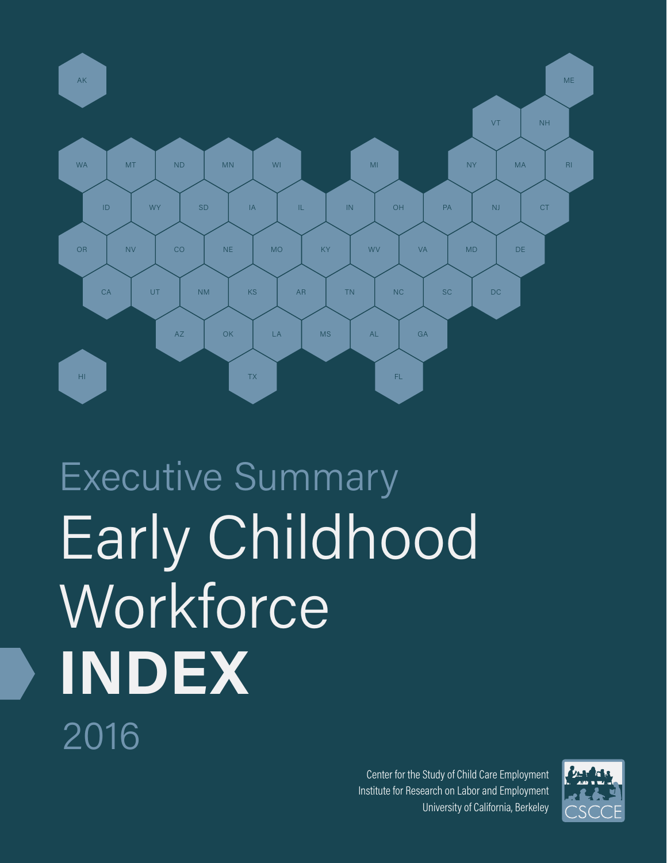

# Early Childhood **Workforce INDEX** 2016 Executive Summary

**Early Childhood Workforce Index 2016 — Executive Summary** 1 University of California, Berkeley Center for the Study of Child Care Employment Institute for Research on Labor and Employment

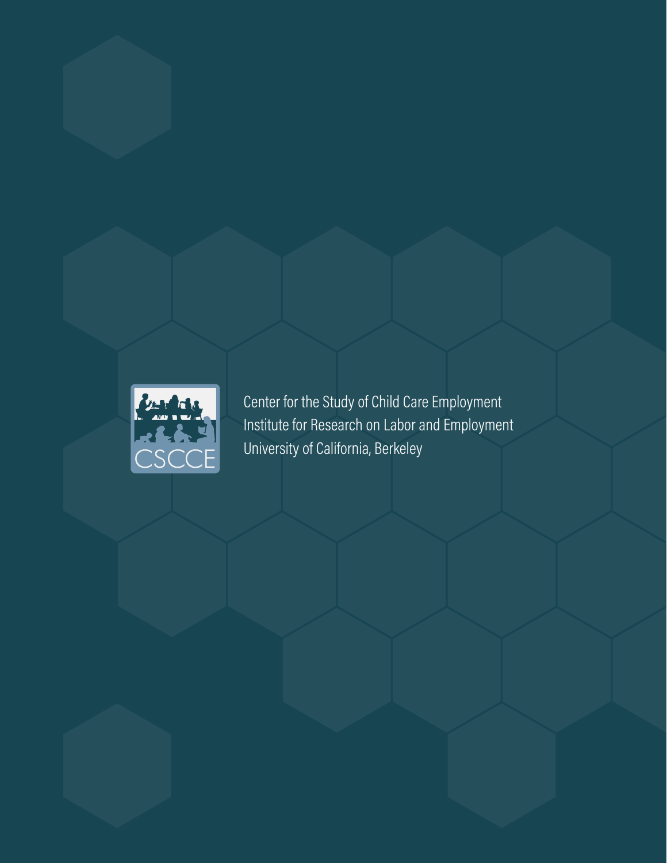

Center for the Study of Child Care Employment Institute for Research on Labor and Employment University of California, Berkeley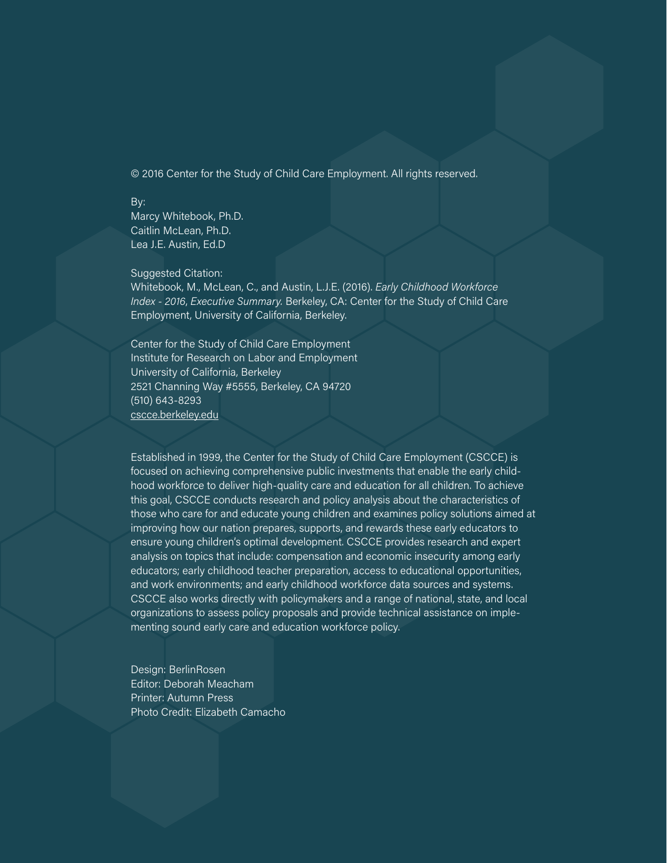© 2016 Center for the Study of Child Care Employment. All rights reserved.

#### By:

Marcy Whitebook, Ph.D. Caitlin McLean, Ph.D. Lea J.E. Austin, Ed.D

#### Suggested Citation:

Whitebook, M., McLean, C., and Austin, L.J.E. (2016). *Early Childhood Workforce Index - 2016*, *Executive Summary.* Berkeley, CA: Center for the Study of Child Care Employment, University of California, Berkeley.

Center for the Study of Child Care Employment Institute for Research on Labor and Employment University of California, Berkeley 2521 Channing Way #5555, Berkeley, CA 94720 (510) 643-8293 [cscce.berkeley.edu](http://cscce.berkeley.edu/)

Established in 1999, the Center for the Study of Child Care Employment (CSCCE) is focused on achieving comprehensive public investments that enable the early childhood workforce to deliver high-quality care and education for all children. To achieve this goal, CSCCE conducts research and policy analysis about the characteristics of those who care for and educate young children and examines policy solutions aimed at improving how our nation prepares, supports, and rewards these early educators to ensure young children's optimal development. CSCCE provides research and expert analysis on topics that include: compensation and economic insecurity among early educators; early childhood teacher preparation, access to educational opportunities, and work environments; and early childhood workforce data sources and systems. CSCCE also works directly with policymakers and a range of national, state, and local organizations to assess policy proposals and provide technical assistance on implementing sound early care and education workforce policy.

Design: BerlinRosen Editor: Deborah Meacham Printer: Autumn Press Photo Credit: Elizabeth Camacho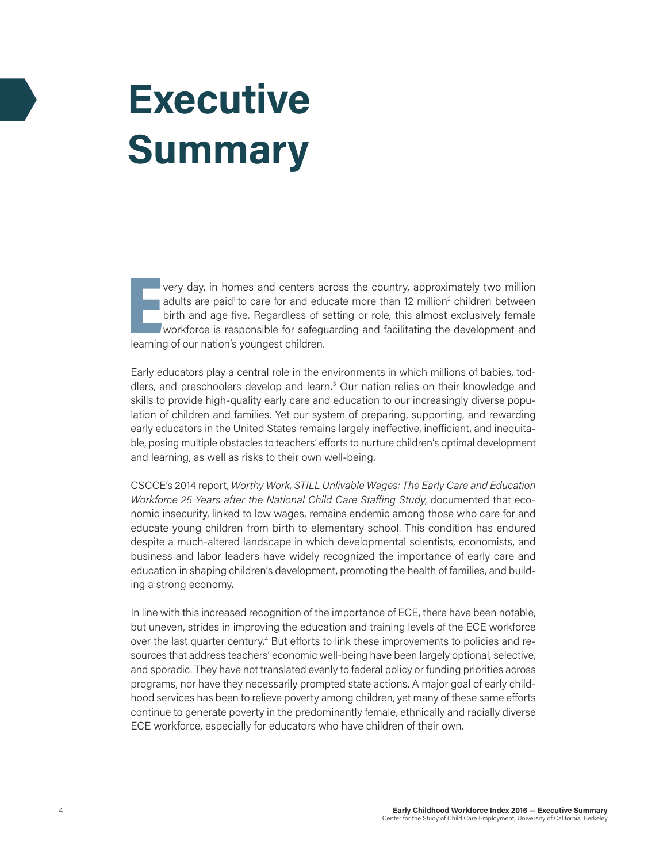## **Executive Summary**

very day, in homes and centers a<br>adults are paid<sup>1</sup> to care for and edu<br>birth and age five. Regardless of s<br>workforce is responsible for safegree very day, in homes and centers across the country, approximately two million adults are paid<sup>1</sup> to care for and educate more than 12 million<sup>2</sup> children between birth and age five. Regardless of setting or role, this almost exclusively female workforce is responsible for safeguarding and facilitating the development and

Early educators play a central role in the environments in which millions of babies, toddlers, and preschoolers develop and learn.<sup>3</sup> Our nation relies on their knowledge and skills to provide high-quality early care and education to our increasingly diverse population of children and families. Yet our system of preparing, supporting, and rewarding early educators in the United States remains largely ineffective, inefficient, and inequitable, posing multiple obstacles to teachers' efforts to nurture children's optimal development and learning, as well as risks to their own well-being.

CSCCE's 2014 report, *Worthy Work, STILL Unlivable Wages: The Early Care and Education Workforce 25 Years after the National Child Care Staffing Study*, documented that economic insecurity, linked to low wages, remains endemic among those who care for and educate young children from birth to elementary school. This condition has endured despite a much-altered landscape in which developmental scientists, economists, and business and labor leaders have widely recognized the importance of early care and education in shaping children's development, promoting the health of families, and building a strong economy.

In line with this increased recognition of the importance of ECE, there have been notable, but uneven, strides in improving the education and training levels of the ECE workforce over the last quarter century.<sup>4</sup> But efforts to link these improvements to policies and resources that address teachers' economic well-being have been largely optional, selective, and sporadic. They have not translated evenly to federal policy or funding priorities across programs, nor have they necessarily prompted state actions. A major goal of early childhood services has been to relieve poverty among children, yet many of these same efforts continue to generate poverty in the predominantly female, ethnically and racially diverse ECE workforce, especially for educators who have children of their own.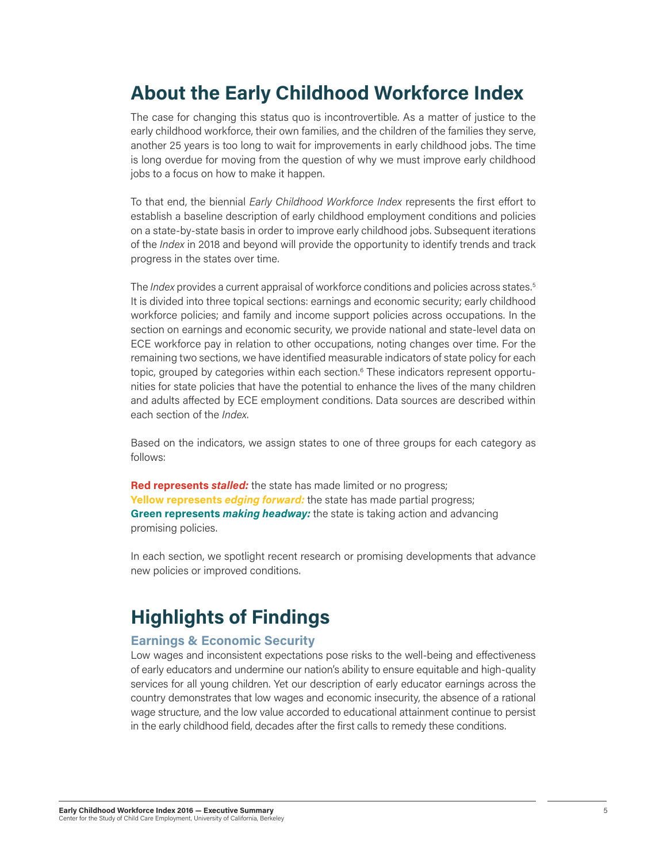## **About the Early Childhood Workforce Index**

The case for changing this status quo is incontrovertible. As a matter of justice to the early childhood workforce, their own families, and the children of the families they serve, another 25 years is too long to wait for improvements in early childhood jobs. The time is long overdue for moving from the question of why we must improve early childhood jobs to a focus on how to make it happen.

To that end, the biennial *Early Childhood Workforce Index* represents the first effort to establish a baseline description of early childhood employment conditions and policies on a state-by-state basis in order to improve early childhood jobs. Subsequent iterations of the *Index* in 2018 and beyond will provide the opportunity to identify trends and track progress in the states over time.

The *Index* provides a current appraisal of workforce conditions and policies across states.5 It is divided into three topical sections: earnings and economic security; early childhood workforce policies; and family and income support policies across occupations. In the section on earnings and economic security, we provide national and state-level data on ECE workforce pay in relation to other occupations, noting changes over time. For the remaining two sections, we have identified measurable indicators of state policy for each topic, grouped by categories within each section.<sup>6</sup> These indicators represent opportunities for state policies that have the potential to enhance the lives of the many children and adults affected by ECE employment conditions. Data sources are described within each section of the *Index*.

Based on the indicators, we assign states to one of three groups for each category as follows:

**Red represents** *stalled:* the state has made limited or no progress; **Yellow represents** *edging forward:* the state has made partial progress; **Green represents** *making headway:* the state is taking action and advancing promising policies.

In each section, we spotlight recent research or promising developments that advance new policies or improved conditions.

### **Highlights of Findings**

#### **Earnings & Economic Security**

Low wages and inconsistent expectations pose risks to the well-being and effectiveness of early educators and undermine our nation's ability to ensure equitable and high-quality services for all young children. Yet our description of early educator earnings across the country demonstrates that low wages and economic insecurity, the absence of a rational wage structure, and the low value accorded to educational attainment continue to persist in the early childhood field, decades after the first calls to remedy these conditions.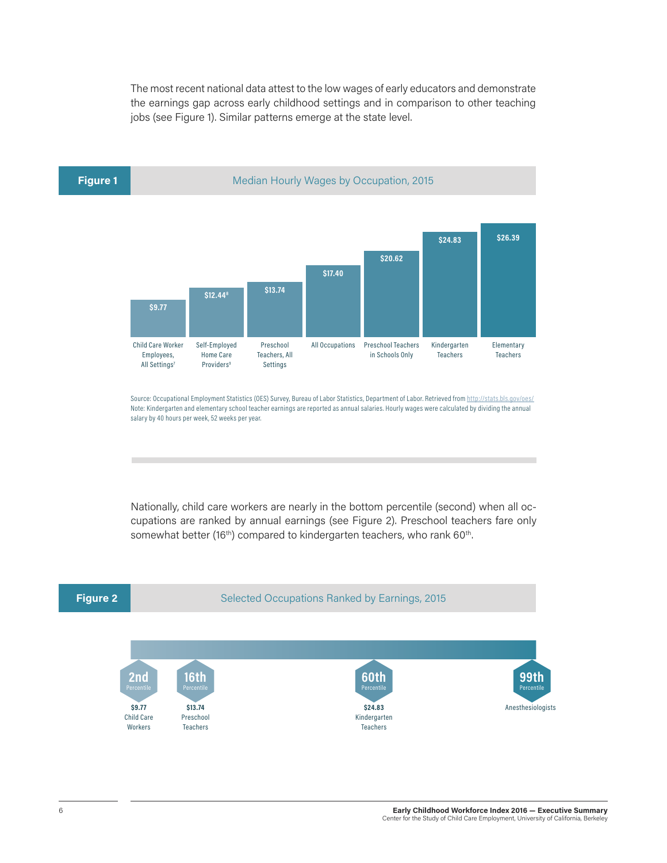The most recent national data attest to the low wages of early educators and demonstrate the earnings gap across early childhood settings and in comparison to other teaching jobs (see Figure 1). Similar patterns emerge at the state level.



Source: Occupational Employment Statistics (OES) Survey, Bureau of Labor Statistics, Department of Labor. Retrieved from http://stats.bls.gov/oes/ Note: Kindergarten and elementary school teacher earnings are reported as annual salaries. Hourly wages were calculated by dividing the annual salary by 40 hours per week, 52 weeks per year.

Nationally, child care workers are nearly in the bottom percentile (second) when all occupations are ranked by annual earnings (see Figure 2). Preschool teachers fare only somewhat better (16<sup>th</sup>) compared to kindergarten teachers, who rank 60<sup>th</sup>.

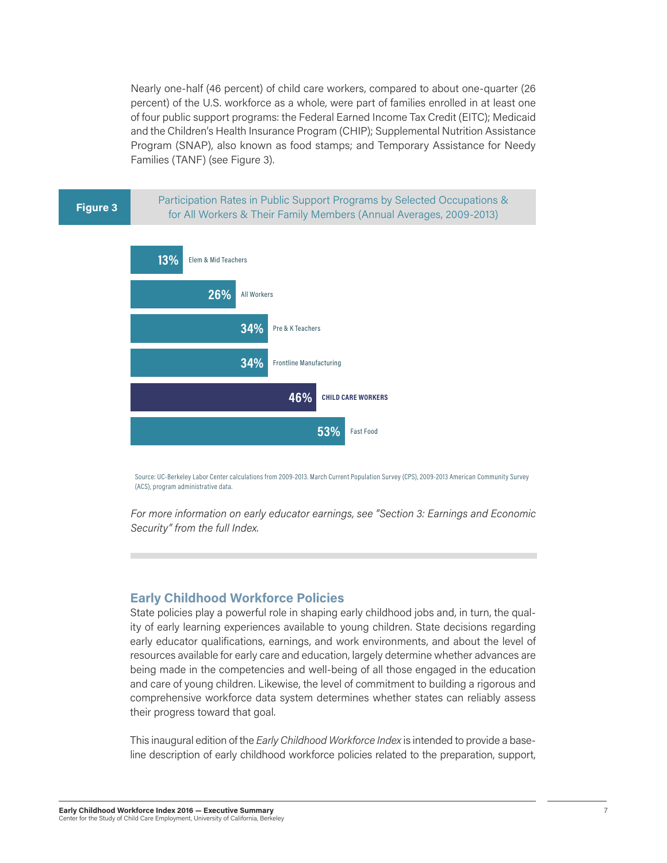Nearly one-half (46 percent) of child care workers, compared to about one-quarter (26 percent) of the U.S. workforce as a whole, were part of families enrolled in at least one of four public support programs: the Federal Earned Income Tax Credit (EITC); Medicaid and the Children's Health Insurance Program (CHIP); Supplemental Nutrition Assistance Program (SNAP), also known as food stamps; and Temporary Assistance for Needy Families (TANF) (see Figure 3).

Participation Rates in Public Support Programs by Selected Occupations & **Figure 3 Figure 3 Figure 3 Figure 3 Figure 3 Figure 3 Figure 3 Figure 3 Figure 3 Figure 3 Figure 3 Figure 3 Figure 3 Figure 3 Figure 3 Figure 3 Figure 3 Figure 3 Figure 3 Figure 3 F** 



Source: UC-Berkeley Labor Center calculations from 2009-2013. March Current Population Survey (CPS), 2009-2013 American Community Survey (ACS), program administrative data.

*For more information on early educator earnings, see "Section 3: Earnings and Economic Security" from the full Index.*

#### **Early Childhood Workforce Policies**

State policies play a powerful role in shaping early childhood jobs and, in turn, the quality of early learning experiences available to young children. State decisions regarding early educator qualifications, earnings, and work environments, and about the level of resources available for early care and education, largely determine whether advances are being made in the competencies and well-being of all those engaged in the education and care of young children. Likewise, the level of commitment to building a rigorous and comprehensive workforce data system determines whether states can reliably assess their progress toward that goal.

This inaugural edition of the *Early Childhood Workforce Index* is intended to provide a baseline description of early childhood workforce policies related to the preparation, support,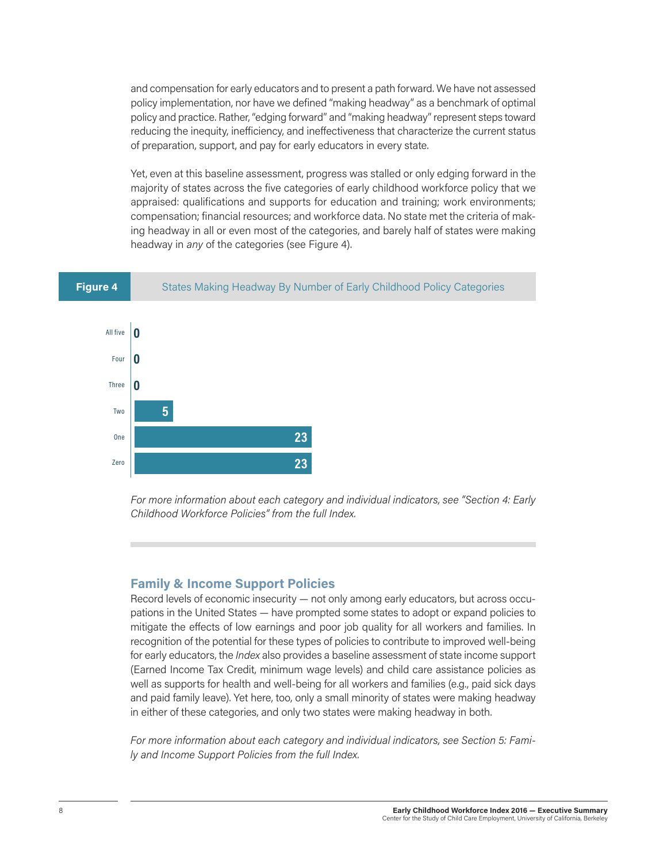and compensation for early educators and to present a path forward. We have not assessed policy implementation, nor have we defined "making headway" as a benchmark of optimal policy and practice. Rather, "edging forward" and "making headway" represent steps toward reducing the inequity, inefficiency, and ineffectiveness that characterize the current status of preparation, support, and pay for early educators in every state.

Yet, even at this baseline assessment, progress was stalled or only edging forward in the majority of states across the five categories of early childhood workforce policy that we appraised: qualifications and supports for education and training; work environments; compensation; financial resources; and workforce data. No state met the criteria of making headway in all or even most of the categories, and barely half of states were making headway in *any* of the categories (see Figure 4).





*For more information about each category and individual indicators, see "Section 4: Early Childhood Workforce Policies" from the full Index.*

#### **Family & Income Support Policies**

Record levels of economic insecurity — not only among early educators, but across occupations in the United States — have prompted some states to adopt or expand policies to mitigate the effects of low earnings and poor job quality for all workers and families. In recognition of the potential for these types of policies to contribute to improved well-being for early educators, the *Index* also provides a baseline assessment of state income support (Earned Income Tax Credit, minimum wage levels) and child care assistance policies as well as supports for health and well-being for all workers and families (e.g., paid sick days and paid family leave). Yet here, too, only a small minority of states were making headway in either of these categories, and only two states were making headway in both.

*For more information about each category and individual indicators, see Section 5: Family and Income Support Policies from the full Index.*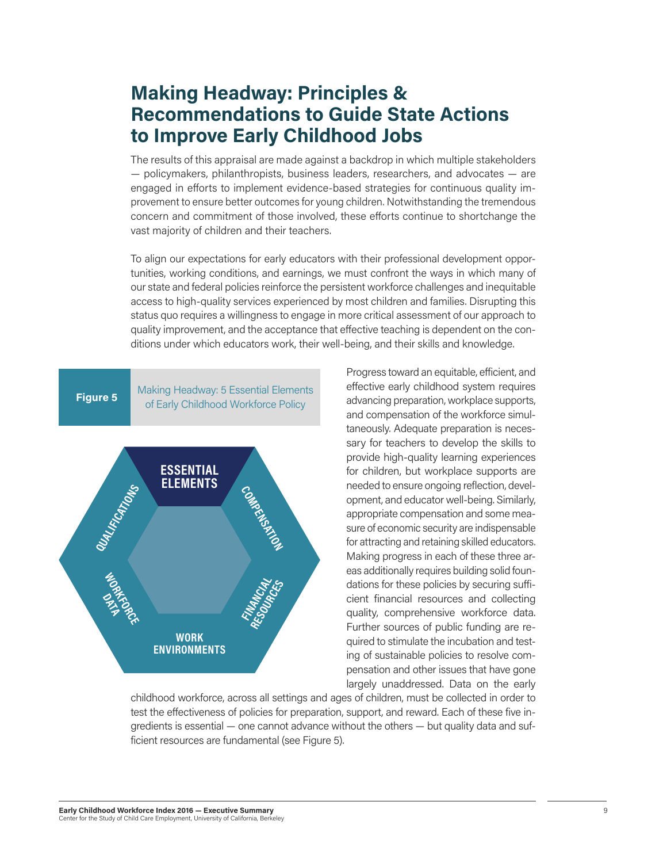## **Making Headway: Principles & Recommendations to Guide State Actions to Improve Early Childhood Jobs**

The results of this appraisal are made against a backdrop in which multiple stakeholders — policymakers, philanthropists, business leaders, researchers, and advocates — are engaged in efforts to implement evidence-based strategies for continuous quality improvement to ensure better outcomes for young children. Notwithstanding the tremendous concern and commitment of those involved, these efforts continue to shortchange the vast majority of children and their teachers.

To align our expectations for early educators with their professional development opportunities, working conditions, and earnings, we must confront the ways in which many of our state and federal policies reinforce the persistent workforce challenges and inequitable access to high-quality services experienced by most children and families. Disrupting this status quo requires a willingness to engage in more critical assessment of our approach to quality improvement, and the acceptance that effective teaching is dependent on the conditions under which educators work, their well-being, and their skills and knowledge.



Progress toward an equitable, efficient, and effective early childhood system requires advancing preparation, workplace supports, and compensation of the workforce simultaneously. Adequate preparation is necessary for teachers to develop the skills to provide high-quality learning experiences for children, but workplace supports are needed to ensure ongoing reflection, development, and educator well-being. Similarly, appropriate compensation and some measure of economic security are indispensable for attracting and retaining skilled educators. Making progress in each of these three areas additionally requires building solid foundations for these policies by securing sufficient financial resources and collecting quality, comprehensive workforce data. Further sources of public funding are required to stimulate the incubation and testing of sustainable policies to resolve compensation and other issues that have gone largely unaddressed. Data on the early

childhood workforce, across all settings and ages of children, must be collected in order to test the effectiveness of policies for preparation, support, and reward. Each of these five ingredients is essential — one cannot advance without the others — but quality data and sufficient resources are fundamental (see Figure 5).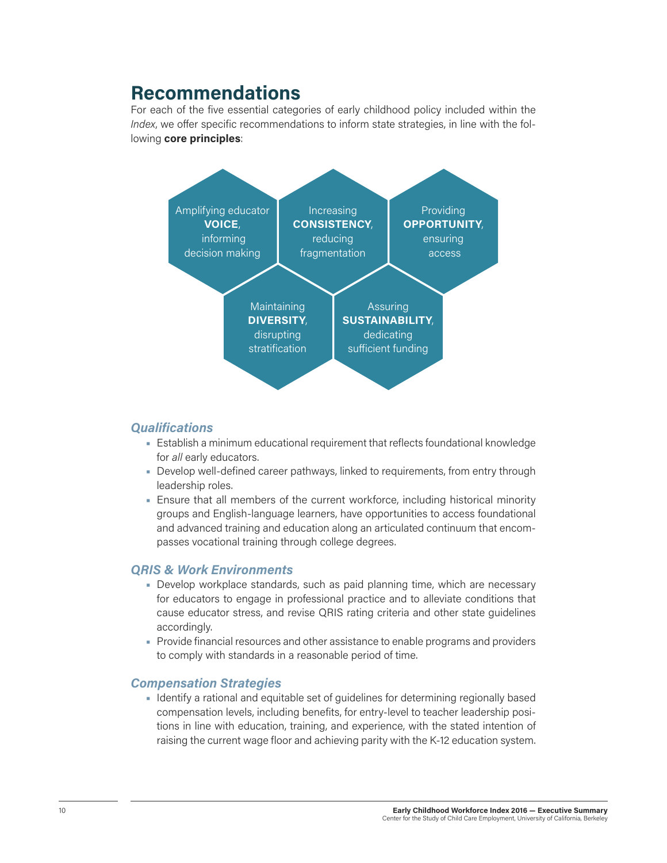## **Recommendations**

For each of the five essential categories of early childhood policy included within the *Index*, we offer specific recommendations to inform state strategies, in line with the following **core principles**:



### *Qualifications*

- Establish a minimum educational requirement that reflects foundational knowledge for *all* early educators.
- Develop well-defined career pathways, linked to requirements, from entry through leadership roles.
- Ensure that all members of the current workforce, including historical minority groups and English-language learners, have opportunities to access foundational and advanced training and education along an articulated continuum that encompasses vocational training through college degrees.

### *QRIS & Work Environments*

- Develop workplace standards, such as paid planning time, which are necessary for educators to engage in professional practice and to alleviate conditions that cause educator stress, and revise QRIS rating criteria and other state guidelines accordingly.
- Provide financial resources and other assistance to enable programs and providers to comply with standards in a reasonable period of time.

#### *Compensation Strategies*

• Identify a rational and equitable set of guidelines for determining regionally based compensation levels, including benefits, for entry-level to teacher leadership positions in line with education, training, and experience, with the stated intention of raising the current wage floor and achieving parity with the K-12 education system.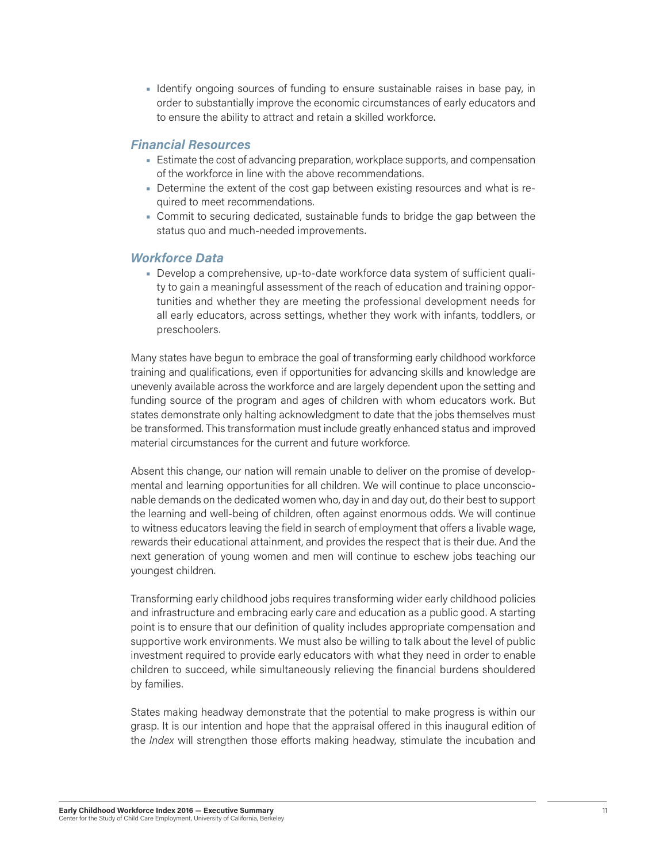• Identify ongoing sources of funding to ensure sustainable raises in base pay, in order to substantially improve the economic circumstances of early educators and to ensure the ability to attract and retain a skilled workforce.

#### *Financial Resources*

- Estimate the cost of advancing preparation, workplace supports, and compensation of the workforce in line with the above recommendations.
- Determine the extent of the cost gap between existing resources and what is required to meet recommendations.
- Commit to securing dedicated, sustainable funds to bridge the gap between the status quo and much-needed improvements.

#### *Workforce Data*

• Develop a comprehensive, up-to-date workforce data system of sufficient quality to gain a meaningful assessment of the reach of education and training opportunities and whether they are meeting the professional development needs for all early educators, across settings, whether they work with infants, toddlers, or preschoolers.

Many states have begun to embrace the goal of transforming early childhood workforce training and qualifications, even if opportunities for advancing skills and knowledge are unevenly available across the workforce and are largely dependent upon the setting and funding source of the program and ages of children with whom educators work. But states demonstrate only halting acknowledgment to date that the jobs themselves must be transformed. This transformation must include greatly enhanced status and improved material circumstances for the current and future workforce.

Absent this change, our nation will remain unable to deliver on the promise of developmental and learning opportunities for all children. We will continue to place unconscionable demands on the dedicated women who, day in and day out, do their best to support the learning and well-being of children, often against enormous odds. We will continue to witness educators leaving the field in search of employment that offers a livable wage, rewards their educational attainment, and provides the respect that is their due. And the next generation of young women and men will continue to eschew jobs teaching our youngest children.

Transforming early childhood jobs requires transforming wider early childhood policies and infrastructure and embracing early care and education as a public good. A starting point is to ensure that our definition of quality includes appropriate compensation and supportive work environments. We must also be willing to talk about the level of public investment required to provide early educators with what they need in order to enable children to succeed, while simultaneously relieving the financial burdens shouldered by families.

States making headway demonstrate that the potential to make progress is within our grasp. It is our intention and hope that the appraisal offered in this inaugural edition of the *Index* will strengthen those efforts making headway, stimulate the incubation and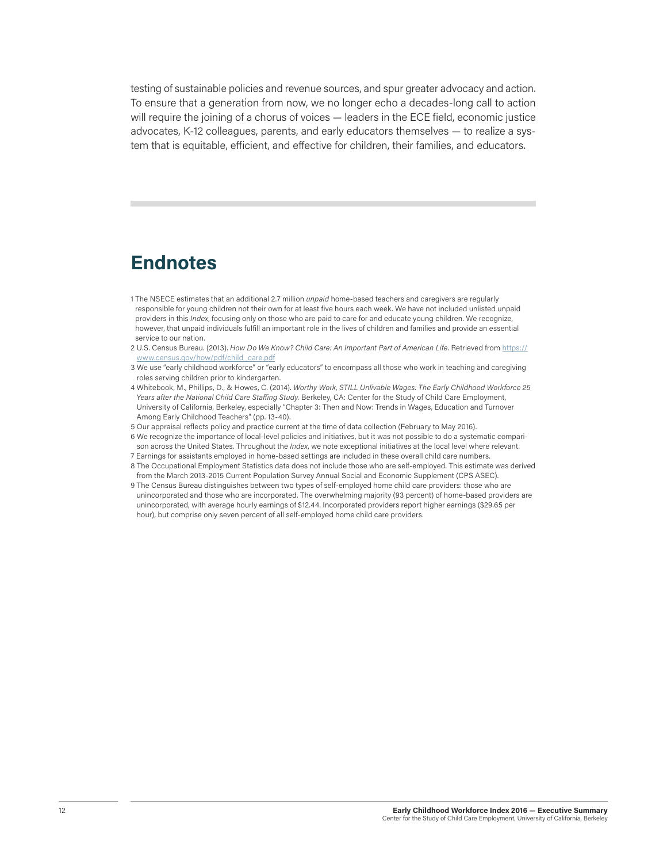testing of sustainable policies and revenue sources, and spur greater advocacy and action. To ensure that a generation from now, we no longer echo a decades-long call to action will require the joining of a chorus of voices — leaders in the ECE field, economic justice advocates, K-12 colleagues, parents, and early educators themselves — to realize a system that is equitable, efficient, and effective for children, their families, and educators.

## **Endnotes**

- 1 The NSECE estimates that an additional 2.7 million *unpaid* home-based teachers and caregivers are regularly responsible for young children not their own for at least five hours each week. We have not included unlisted unpaid providers in this *Index*, focusing only on those who are paid to care for and educate young children. We recognize, however, that unpaid individuals fulfill an important role in the lives of children and families and provide an essential service to our nation.
- 2 U.S. Census Bureau. (2013). *How Do We Know? Child Care: An Important Part of American Life*. Retrieved fro[m https://](https://www.census.gov/how/pdf/child_care.pdf) [www.census.gov/how/pdf/child\\_care.pdf](https://www.census.gov/how/pdf/child_care.pdf)
- 3 We use "early childhood workforce" or "early educators" to encompass all those who work in teaching and caregiving roles serving children prior to kindergarten.
- 4 Whitebook, M., Phillips, D., & Howes, C. (2014). *Worthy Work, STILL Unlivable Wages: The Early Childhood Workforce 25*  Years after the National Child Care Staffing Study. Berkeley, CA: Center for the Study of Child Care Employment, University of California, Berkeley, especially "Chapter 3: Then and Now: Trends in Wages, Education and Turnover Among Early Childhood Teachers" (pp. 13-40).
- 5 Our appraisal reflects policy and practice current at the time of data collection (February to May 2016).
- 6 We recognize the importance of local-level policies and initiatives, but it was not possible to do a systematic comparison across the United States. Throughout the *Index*, we note exceptional initiatives at the local level where relevant. 7 Earnings for assistants employed in home-based settings are included in these overall child care numbers.
- 8 The Occupational Employment Statistics data does not include those who are self-employed. This estimate was derived from the March 2013-2015 Current Population Survey Annual Social and Economic Supplement (CPS ASEC).
- 9 The Census Bureau distinguishes between two types of self-employed home child care providers: those who are unincorporated and those who are incorporated. The overwhelming majority (93 percent) of home-based providers are unincorporated, with average hourly earnings of \$12.44. Incorporated providers report higher earnings (\$29.65 per hour), but comprise only seven percent of all self-employed home child care providers.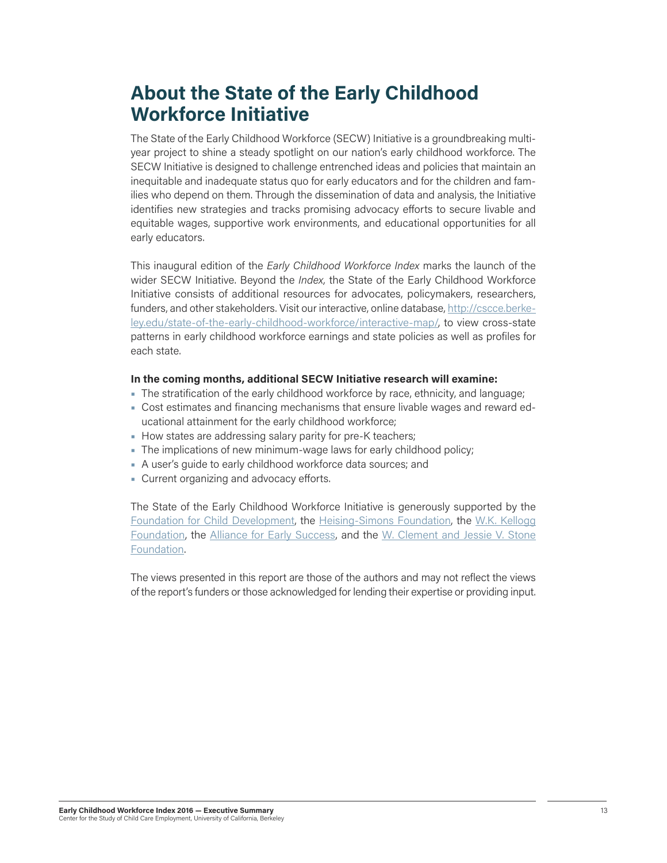## **About the State of the Early Childhood Workforce Initiative**

The State of the Early Childhood Workforce (SECW) Initiative is a groundbreaking multiyear project to shine a steady spotlight on our nation's early childhood workforce. The SECW Initiative is designed to challenge entrenched ideas and policies that maintain an inequitable and inadequate status quo for early educators and for the children and families who depend on them. Through the dissemination of data and analysis, the Initiative identifies new strategies and tracks promising advocacy efforts to secure livable and equitable wages, supportive work environments, and educational opportunities for all early educators.

This inaugural edition of the *Early Childhood Workforce Index* marks the launch of the wider SECW Initiative. Beyond the *Index,* the State of the Early Childhood Workforce Initiative consists of additional resources for advocates, policymakers, researchers, funders, and other stakeholders. Visit our interactive, online database, [http://cscce.berke](http://cscce.berkeley.edu/state-of-the-early-childhood-workforce/interactive-map/)[ley.edu/state-of-the-early-childhood-workforce/interactive-map/](http://cscce.berkeley.edu/state-of-the-early-childhood-workforce/interactive-map/), to view cross-state patterns in early childhood workforce earnings and state policies as well as profiles for each state.

#### **In the coming months, additional SECW Initiative research will examine:**

- The stratification of the early childhood workforce by race, ethnicity, and language;
- Cost estimates and financing mechanisms that ensure livable wages and reward educational attainment for the early childhood workforce;
- How states are addressing salary parity for pre-K teachers;
- The implications of new minimum-wage laws for early childhood policy;
- A user's guide to early childhood workforce data sources; and
- Current organizing and advocacy efforts.

The State of the Early Childhood Workforce Initiative is generously supported by the [Foundation for Child Development,](http://fcd-us.org/) the [Heising-Simons Foundation](http://www.heisingsimons.org), the [W.K. Kellogg](https://www.wkkf.org/) [Foundation,](https://www.wkkf.org/) the [Alliance for Early Success](http://earlysuccess.org/), and the [W. Clement and Jessie V. Stone](http://www.wcstonefnd.org/) [Foundation.](http://www.wcstonefnd.org/)

The views presented in this report are those of the authors and may not reflect the views of the report's funders or those acknowledged for lending their expertise or providing input.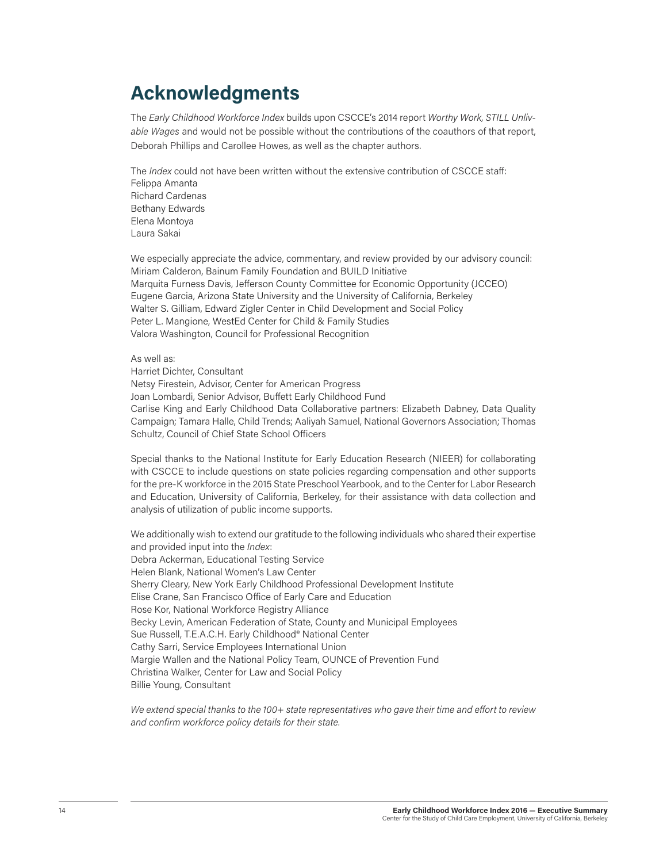## **Acknowledgments**

The *Early Childhood Workforce Index* builds upon CSCCE's 2014 report *Worthy Work, STILL Unlivable Wages* and would not be possible without the contributions of the coauthors of that report, Deborah Phillips and Carollee Howes, as well as the chapter authors.

The *Index* could not have been written without the extensive contribution of CSCCE staff: Felippa Amanta Richard Cardenas Bethany Edwards Elena Montoya Laura Sakai

We especially appreciate the advice, commentary, and review provided by our advisory council: Miriam Calderon, Bainum Family Foundation and BUILD Initiative Marquita Furness Davis, Jefferson County Committee for Economic Opportunity (JCCEO) Eugene Garcia, Arizona State University and the University of California, Berkeley Walter S. Gilliam, Edward Zigler Center in Child Development and Social Policy Peter L. Mangione, WestEd Center for Child & Family Studies Valora Washington, Council for Professional Recognition

#### As well as:

Harriet Dichter, Consultant Netsy Firestein, Advisor, Center for American Progress Joan Lombardi, Senior Advisor, Buffett Early Childhood Fund Carlise King and Early Childhood Data Collaborative partners: Elizabeth Dabney, Data Quality Campaign; Tamara Halle, Child Trends; Aaliyah Samuel, National Governors Association; Thomas Schultz, Council of Chief State School Officers

Special thanks to the National Institute for Early Education Research (NIEER) for collaborating with CSCCE to include questions on state policies regarding compensation and other supports for the pre-K workforce in the 2015 State Preschool Yearbook, and to the Center for Labor Research and Education, University of California, Berkeley, for their assistance with data collection and analysis of utilization of public income supports.

We additionally wish to extend our gratitude to the following individuals who shared their expertise and provided input into the *Index*: Debra Ackerman, Educational Testing Service Helen Blank, National Women's Law Center Sherry Cleary, New York Early Childhood Professional Development Institute Elise Crane, San Francisco Office of Early Care and Education Rose Kor, National Workforce Registry Alliance Becky Levin, American Federation of State, County and Municipal Employees Sue Russell, T.E.A.C.H. Early Childhood® National Center Cathy Sarri, Service Employees International Union Margie Wallen and the National Policy Team, OUNCE of Prevention Fund Christina Walker, Center for Law and Social Policy Billie Young, Consultant

*We extend special thanks to the 100+ state representatives who gave their time and effort to review and confirm workforce policy details for their state.*